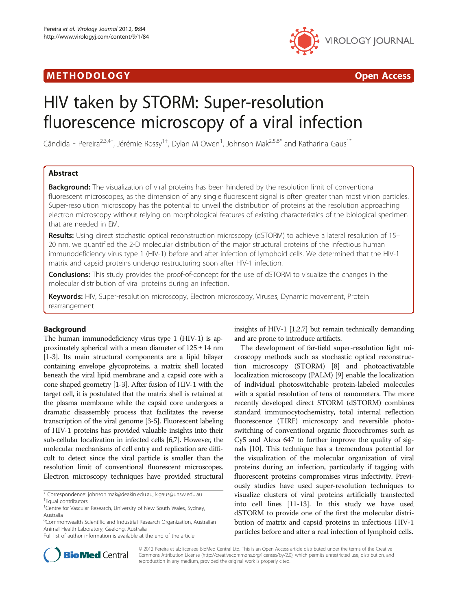# M E THOD O LOGY Open Access



# HIV taken by STORM: Super-resolution fluorescence microscopy of a viral infection

Cândida F Pereira<sup>2,3,4†</sup>, Jérémie Rossy<sup>1†</sup>, Dylan M Owen<sup>1</sup>, Johnson Mak<sup>2,5,6\*</sup> and Katharina Gaus<sup>1\*</sup>

# Abstract

**Background:** The visualization of viral proteins has been hindered by the resolution limit of conventional fluorescent microscopes, as the dimension of any single fluorescent signal is often greater than most virion particles. Super-resolution microscopy has the potential to unveil the distribution of proteins at the resolution approaching electron microscopy without relying on morphological features of existing characteristics of the biological specimen that are needed in EM.

Results: Using direct stochastic optical reconstruction microscopy (dSTORM) to achieve a lateral resolution of 15– 20 nm, we quantified the 2-D molecular distribution of the major structural proteins of the infectious human immunodeficiency virus type 1 (HIV-1) before and after infection of lymphoid cells. We determined that the HIV-1 matrix and capsid proteins undergo restructuring soon after HIV-1 infection.

**Conclusions:** This study provides the proof-of-concept for the use of dSTORM to visualize the changes in the molecular distribution of viral proteins during an infection.

Keywords: HIV, Super-resolution microscopy, Electron microscopy, Viruses, Dynamic movement, Protein rearrangement

# Background

The human immunodeficiency virus type 1 (HIV-1) is approximately spherical with a mean diameter of  $125 \pm 14$  nm [[1](#page-4-0)-[3](#page-4-0)]. Its main structural components are a lipid bilayer containing envelope glycoproteins, a matrix shell located beneath the viral lipid membrane and a capsid core with a cone shaped geometry [\[1-3\]](#page-4-0). After fusion of HIV-1 with the target cell, it is postulated that the matrix shell is retained at the plasma membrane while the capsid core undergoes a dramatic disassembly process that facilitates the reverse transcription of the viral genome [[3](#page-4-0)-[5](#page-4-0)]. Fluorescent labeling of HIV-1 proteins has provided valuable insights into their sub-cellular localization in infected cells [\[6,7\]](#page-4-0). However, the molecular mechanisms of cell entry and replication are difficult to detect since the viral particle is smaller than the resolution limit of conventional fluorescent microscopes. Electron microscopy techniques have provided structural

\* Correspondence: [johnson.mak@deakin.edu.au;](mailto:johnson.mak@deakin.edu.au) [k.gaus@unsw.edu.au](mailto:k.gaus@unsw.edu.au) † <sup>+</sup>Equal contributors

insights of HIV-1 [\[1,2,7](#page-4-0)] but remain technically demanding and are prone to introduce artifacts.

The development of far-field super-resolution light microscopy methods such as stochastic optical reconstruction microscopy (STORM) [\[8](#page-4-0)] and photoactivatable localization microscopy (PALM) [\[9\]](#page-4-0) enable the localization of individual photoswitchable protein-labeled molecules with a spatial resolution of tens of nanometers. The more recently developed direct STORM (dSTORM) combines standard immunocytochemistry, total internal reflection fluorescence (TIRF) microscopy and reversible photoswitching of conventional organic fluorochromes such as Cy5 and Alexa 647 to further improve the quality of signals [[10](#page-4-0)]. This technique has a tremendous potential for the visualization of the molecular organization of viral proteins during an infection, particularly if tagging with fluorescent proteins compromises virus infectivity. Previously studies have used super-resolution techniques to visualize clusters of viral proteins artificially transfected into cell lines [[11](#page-4-0)-[13](#page-5-0)]. In this study we have used dSTORM to provide one of the first the molecular distribution of matrix and capsid proteins in infectious HIV-1 particles before and after a real infection of lymphoid cells.



© 2012 Pereira et al.; licensee BioMed Central Ltd. This is an Open Access article distributed under the terms of the Creative Commons Attribution License (http://creativecommons.org/licenses/by/2.0), which permits unrestricted use, distribution, and reproduction in any medium, provided the original work is properly cited.

<sup>&</sup>lt;sup>1</sup> Centre for Vascular Research, University of New South Wales, Sydney, Australia

<sup>&</sup>lt;sup>6</sup>Commonwealth Scientific and Industrial Research Organization, Australian Animal Health Laboratory, Geelong, Australia

Full list of author information is available at the end of the article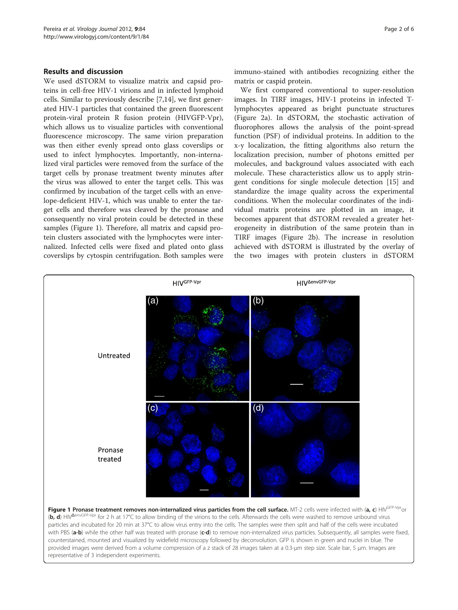### Results and discussion

We used dSTORM to visualize matrix and capsid proteins in cell-free HIV-1 virions and in infected lymphoid cells. Similar to previously describe [\[7](#page-4-0)[,14](#page-5-0)], we first generated HIV-1 particles that contained the green fluorescent protein-viral protein R fusion protein (HIVGFP-Vpr), which allows us to visualize particles with conventional fluorescence microscopy. The same virion preparation was then either evenly spread onto glass coverslips or used to infect lymphocytes. Importantly, non-internalized viral particles were removed from the surface of the target cells by pronase treatment twenty minutes after the virus was allowed to enter the target cells. This was confirmed by incubation of the target cells with an envelope-deficient HIV-1, which was unable to enter the target cells and therefore was cleaved by the pronase and consequently no viral protein could be detected in these samples (Figure 1). Therefore, all matrix and capsid protein clusters associated with the lymphocytes were internalized. Infected cells were fixed and plated onto glass coverslips by cytospin centrifugation. Both samples were immuno-stained with antibodies recognizing either the matrix or caspid protein.

We first compared conventional to super-resolution images. In TIRF images, HIV-1 proteins in infected Tlymphocytes appeared as bright punctuate structures (Figure [2a](#page-2-0)). In dSTORM, the stochastic activation of fluorophores allows the analysis of the point-spread function (PSF) of individual proteins. In addition to the x-y localization, the fitting algorithms also return the localization precision, number of photons emitted per molecules, and background values associated with each molecule. These characteristics allow us to apply stringent conditions for single molecule detection [[15\]](#page-5-0) and standardize the image quality across the experimental conditions. When the molecular coordinates of the individual matrix proteins are plotted in an image, it becomes apparent that dSTORM revealed a greater heterogeneity in distribution of the same protein than in TIRF images (Figure [2b\)](#page-2-0). The increase in resolution achieved with dSTORM is illustrated by the overlay of the two images with protein clusters in dSTORM

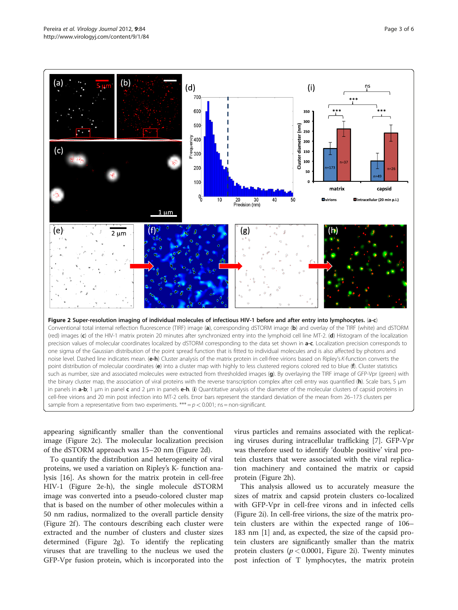<span id="page-2-0"></span>

appearing significantly smaller than the conventional image (Figure 2c). The molecular localization precision of the dSTORM approach was 15–20 nm (Figure 2d).

To quantify the distribution and heterogeneity of viral proteins, we used a variation on Ripley's K- function analysis [\[16](#page-5-0)]. As shown for the matrix protein in cell-free HIV-1 (Figure 2e-h), the single molecule dSTORM image was converted into a pseudo-colored cluster map that is based on the number of other molecules within a 50 nm radius, normalized to the overall particle density (Figure 2f). The contours describing each cluster were extracted and the number of clusters and cluster sizes determined (Figure 2g). To identify the replicating viruses that are travelling to the nucleus we used the GFP-Vpr fusion protein, which is incorporated into the

virus particles and remains associated with the replicating viruses during intracellular trafficking [\[7](#page-4-0)]. GFP-Vpr was therefore used to identify 'double positive' viral protein clusters that were associated with the viral replication machinery and contained the matrix or capsid protein (Figure 2h).

This analysis allowed us to accurately measure the sizes of matrix and capsid protein clusters co-localized with GFP-Vpr in cell-free virons and in infected cells (Figure 2i). In cell-free virions, the size of the matrix protein clusters are within the expected range of 106– 183 nm [\[1](#page-4-0)] and, as expected, the size of the capsid protein clusters are significantly smaller than the matrix protein clusters ( $p < 0.0001$ , Figure 2i). Twenty minutes post infection of T lymphocytes, the matrix protein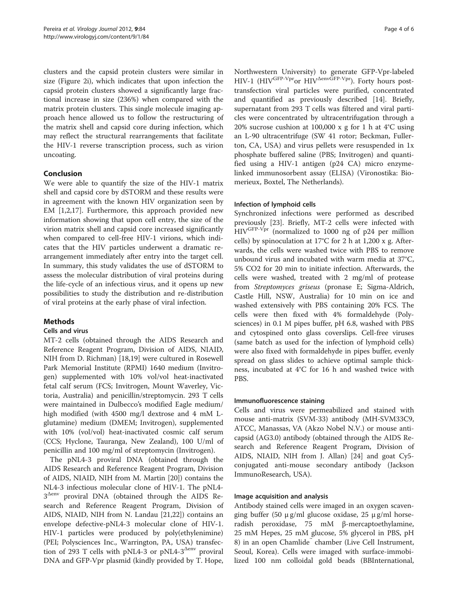clusters and the capsid protein clusters were similar in size (Figure [2i\)](#page-2-0), which indicates that upon infection the capsid protein clusters showed a significantly large fractional increase in size (236%) when compared with the matrix protein clusters. This single molecule imaging approach hence allowed us to follow the restructuring of the matrix shell and capsid core during infection, which may reflect the structural rearrangements that facilitate the HIV-1 reverse transcription process, such as virion uncoating.

# Conclusion

We were able to quantify the size of the HIV-1 matrix shell and capsid core by dSTORM and these results were in agreement with the known HIV organization seen by EM [\[1,2](#page-4-0)[,17](#page-5-0)]. Furthermore, this approach provided new information showing that upon cell entry, the size of the virion matrix shell and capsid core increased significantly when compared to cell-free HIV-1 virions, which indicates that the HIV particles underwent a dramatic rearrangement immediately after entry into the target cell. In summary, this study validates the use of dSTORM to assess the molecular distribution of viral proteins during the life-cycle of an infectious virus, and it opens up new possibilities to study the distribution and re-distribution of viral proteins at the early phase of viral infection.

# Methods

# Cells and virus

MT-2 cells (obtained through the AIDS Research and Reference Reagent Program, Division of AIDS, NIAID, NIH from D. Richman) [[18](#page-5-0),[19](#page-5-0)] were cultured in Rosewell Park Memorial Institute (RPMI) 1640 medium (Invitrogen) supplemented with 10% vol/vol heat-inactivated fetal calf serum (FCS; Invitrogen, Mount Waverley, Victoria, Australia) and penicillin/streptomycin. 293 T cells were maintained in Dulbecco's modified Eagle medium/ high modified (with 4500 mg/l dextrose and 4 mM Lglutamine) medium (DMEM; Invitrogen), supplemented with 10% (vol/vol) heat-inactivated cosmic calf serum (CCS; Hyclone, Tauranga, New Zealand), 100 U/ml of penicillin and 100 mg/ml of streptomycin (Invitrogen).

The pNL4-3 proviral DNA (obtained through the AIDS Research and Reference Reagent Program, Division of AIDS, NIAID, NIH from M. Martin [\[20](#page-5-0)]) contains the NL4-3 infectious molecular clone of HIV-1. The pNL4- 3Δenv proviral DNA (obtained through the AIDS Research and Reference Reagent Program, Division of AIDS, NIAID, NIH from N. Landau [\[21,22\]](#page-5-0)) contains an envelope defective-pNL4-3 molecular clone of HIV-1. HIV-1 particles were produced by poly(ethylenimine) (PEI; Polysciences Inc., Warrington, PA, USA) transfection of 293 T cells with pNL4-3 or pNL4-3<sup>Δenv</sup> proviral DNA and GFP-Vpr plasmid (kindly provided by T. Hope,

Northwestern University) to generate GFP-Vpr-labeled HIV-1 (HIV<sup>GFP-Vpr</sup>or HIV<sup> $\Delta$ envGFP-Vpr</sup>). Forty hours posttransfection viral particles were purified, concentrated and quantified as previously described [\[14\]](#page-5-0). Briefly, supernatant from 293 T cells was filtered and viral particles were concentrated by ultracentrifugation through a 20% sucrose cushion at 100,000 x g for 1 h at 4°C using an L-90 ultracentrifuge (SW 41 rotor; Beckman, Fullerton, CA, USA) and virus pellets were resuspended in 1x phosphate buffered saline (PBS; Invitrogen) and quantified using a HIV-1 antigen (p24 CA) micro enzymelinked immunosorbent assay (ELISA) (Vironostika: Biomerieux, Boxtel, The Netherlands).

# Infection of lymphoid cells

Synchronized infections were performed as described previously [\[23](#page-5-0)]. Briefly, MT-2 cells were infected with HIVGFP-Vpr (normalized to 1000 ng of p24 per million cells) by spinoculation at 17°C for 2 h at 1,200 x g. Afterwards, the cells were washed twice with PBS to remove unbound virus and incubated with warm media at 37°C, 5% CO2 for 20 min to initiate infection. Afterwards, the cells were washed, treated with 2 mg/ml of protease from Streptomyces griseus (pronase E; Sigma-Aldrich, Castle Hill, NSW, Australia) for 10 min on ice and washed extensively with PBS containing 20% FCS. The cells were then fixed with 4% formaldehyde (Polysciences) in 0.1 M pipes buffer, pH 6.8, washed with PBS and cytospined onto glass coverslips. Cell-free viruses (same batch as used for the infection of lymphoid cells) were also fixed with formaldehyde in pipes buffer, evenly spread on glass slides to achieve optimal sample thickness, incubated at 4°C for 16 h and washed twice with PBS.

#### Immunofluorescence staining

Cells and virus were permeabilized and stained with mouse anti-matrix (SVM-33) antibody (MH-SVM33C9, ATCC, Manassas, VA (Akzo Nobel N.V.) or mouse anticapsid (AG3.0) antibody (obtained through the AIDS Research and Reference Reagent Program, Division of AIDS, NIAID, NIH from J. Allan) [\[24](#page-5-0)] and goat Cy5 conjugated anti-mouse secondary antibody (Jackson ImmunoResearch, USA).

# Image acquisition and analysis

Antibody stained cells were imaged in an oxygen scavenging buffer (50  $\mu$  g/ml glucose oxidase, 25  $\mu$  g/ml horseradish peroxidase, 75 mM β-mercaptoethylamine, 25 mM Hepes, 25 mM glucose, 5% glycerol in PBS, pH 8) in an open Chamlide chamber (Live Cell Instrument, Seoul, Korea). Cells were imaged with surface-immobilized 100 nm colloidal gold beads (BBInternational,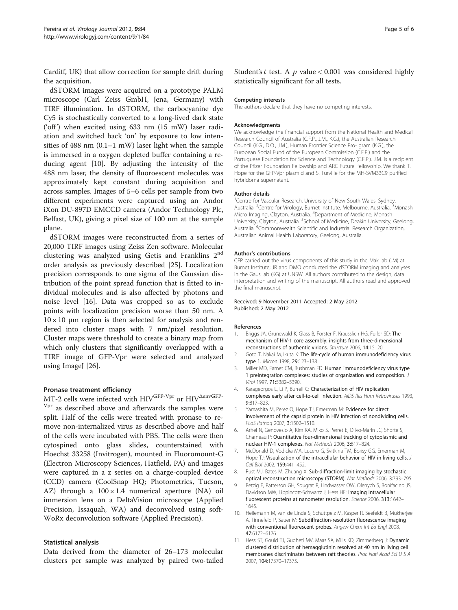<span id="page-4-0"></span>Cardiff, UK) that allow correction for sample drift during the acquisition.

dSTORM images were acquired on a prototype PALM microscope (Carl Zeiss GmbH, Jena, Germany) with TIRF illumination. In dSTORM, the carbocyanine dye Cy5 is stochastically converted to a long-lived dark state ('off') when excited using 633 nm (15 mW) laser radiation and switched back 'on' by exposure to low intensities of 488 nm (0.1–1 mW) laser light when the sample is immersed in a oxygen depleted buffer containing a reducing agent [10]. By adjusting the intensity of the 488 nm laser, the density of fluoroescent molecules was approximately kept constant during acquisition and across samples. Images of 5–6 cells per sample from two different experiments were captured using an Andor iXon DU-897D EMCCD camera (Andor Technology Plc, Belfast, UK), giving a pixel size of 100 nm at the sample plane.

dSTORM images were reconstructed from a series of 20,000 TIRF images using Zeiss Zen software. Molecular clustering was analyzed using Getis and Franklins 2<sup>nd</sup> order analysis as previously described [\[25\]](#page-5-0). Localization precision corresponds to one sigma of the Gaussian distribution of the point spread function that is fitted to individual molecules and is also affected by photons and noise level [\[16\]](#page-5-0). Data was cropped so as to exclude points with localization precision worse than 50 nm. A  $10 \times 10$  μm region is then selected for analysis and rendered into cluster maps with 7 nm/pixel resolution. Cluster maps were threshold to create a binary map from which only clusters that significantly overlapped with a TIRF image of GFP-Vpr were selected and analyzed using ImageJ [\[26\]](#page-5-0).

#### Pronase treatment efficiency

MT-2 cells were infected with  ${\rm HIV}^{\rm GFP-Vpr}$  or  ${\rm HIV}^{\rm AenvGFP-}$ V<sub>pr</sub> as described above and afterwards the samples were split. Half of the cells were treated with pronase to remove non-internalized virus as described above and half of the cells were incubated with PBS. The cells were then cytospined onto glass slides, counterstained with Hoechst 33258 (Invitrogen), mounted in Fluoromount-G (Electron Microscopy Sciences, Hatfield, PA) and images were captured in a z series on a charge-coupled device (CCD) camera (CoolSnap HQ; Photometrics, Tucson, AZ) through a  $100 \times 1.4$  numerical aperture (NA) oil immersion lens on a DeltaVision microscope (Applied Precision, Issaquah, WA) and deconvolved using soft-WoRx deconvolution software (Applied Precision).

# Statistical analysis

Data derived from the diameter of 26–173 molecular clusters per sample was analyzed by paired two-tailed Student's t test. A  $p$  value < 0.001 was considered highly statistically significant for all tests.

#### Competing interests

The authors declare that they have no competing interests.

#### **Acknowledgments**

We acknowledge the financial support from the National Health and Medical Research Council of Australia (C.F.P., J.M., K.G.), the Australian Research Council (K.G., D.O., J.M.), Human Frontier Science Pro- gram (K.G.), the European Social Fund of the European Commission (C.F.P.) and the Portuguese Foundation for Science and Technology (C.F.P.). J.M. is a recipient of the Pfizer Foundation Fellowship and ARC Future Fellowship. We thank T. Hope for the GFP-Vpr plasmid and S. Turville for the MH-SVM33C9 purified hybridoma supernatant.

#### Author details

<sup>1</sup> Centre for Vascular Research, University of New South Wales, Sydney, Australia. <sup>2</sup>Centre for Virology, Burnet Institute, Melbourne, Australia. <sup>3</sup>Monash Micro Imaging, Clayton, Australia. <sup>4</sup>Department of Medicine, Monash University, Clayton, Australia. <sup>5</sup>School of Medicine, Deakin University, Geelong Australia. <sup>6</sup>Commonwealth Scientific and Industrial Research Organization, Australian Animal Health Laboratory, Geelong, Australia.

#### Author's contributions

CFP carried out the virus components of this study in the Mak lab (JM) at Burnet Institute; JR and DMO conducted the dSTORM imaging and analyses in the Gaus lab (KG) at UNSW. All authors contributed to the design, data interpretation and writing of the manuscript. All authors read and approved the final manuscript.

#### Received: 9 November 2011 Accepted: 2 May 2012 Published: 2 May 2012

#### References

- 1. Briggs JA, Grunewald K, Glass B, Forster F, Krausslich HG, Fuller SD: The mechanism of HIV-1 core assembly: insights from three-dimensional reconstructions of authentic virions. Structure 2006, 14:15–20.
- 2. Goto T, Nakai M, Ikuta K: The life-cycle of human immunodeficiency virus type 1. Micron 1998, 29:123–138.
- 3. Miller MD, Farnet CM, Bushman FD: Human immunodeficiency virus type 1 preintegration complexes: studies of organization and composition. J Virol 1997, 71:5382–5390.
- 4. Karageorgos L, Li P, Burrell C: Characterization of HIV replication complexes early after cell-to-cell infection. AIDS Res Hum Retroviruses 1993, 9:817–823.
- 5. Yamashita M, Perez O, Hope TJ, Emerman M: Evidence for direct involvement of the capsid protein in HIV infection of nondividing cells. PLoS Pathog 2007, 3:1502–1510.
- 6. Arhel N, Genovesio A, Kim KA, Miko S, Perret E, Olivo-Marin JC, Shorte S, Charneau P: Quantitative four-dimensional tracking of cytoplasmic and nuclear HIV-1 complexes. Nat Methods 2006, 3:817–824.
- 7. McDonald D, Vodicka MA, Lucero G, Svitkina TM, Borisy GG, Emerman M, Hope TJ: Visualization of the intracellular behavior of HIV in living cells. J Cell Biol 2002, 159:441–452.
- 8. Rust MJ, Bates M, Zhuang X: Sub-diffraction-limit imaging by stochastic optical reconstruction microscopy (STORM). Nat Methods 2006, 3:793–795.
- 9. Betzig E, Patterson GH, Sougrat R, Lindwasser OW, Olenych S, Bonifacino JS, Davidson MW, Lippincott-Schwartz J, Hess HF: Imaging intracellular fluorescent proteins at nanometer resolution. Science 2006, 313:1642– 1645.
- 10. Heilemann M, van de Linde S, Schuttpelz M, Kasper R, Seefeldt B, Mukherjee A, Tinnefeld P, Sauer M: Subdiffraction-resolution fluorescence imaging with conventional fluorescent probes. Angew Chem Int Ed Engl 2008, 47:6172–6176.
- 11. Hess ST, Gould TJ, Gudheti MV, Maas SA, Mills KD, Zimmerberg J: Dynamic clustered distribution of hemagglutinin resolved at 40 nm in living cell membranes discriminates between raft theories. Proc Natl Acad Sci U S A 2007, 104:17370–17375.